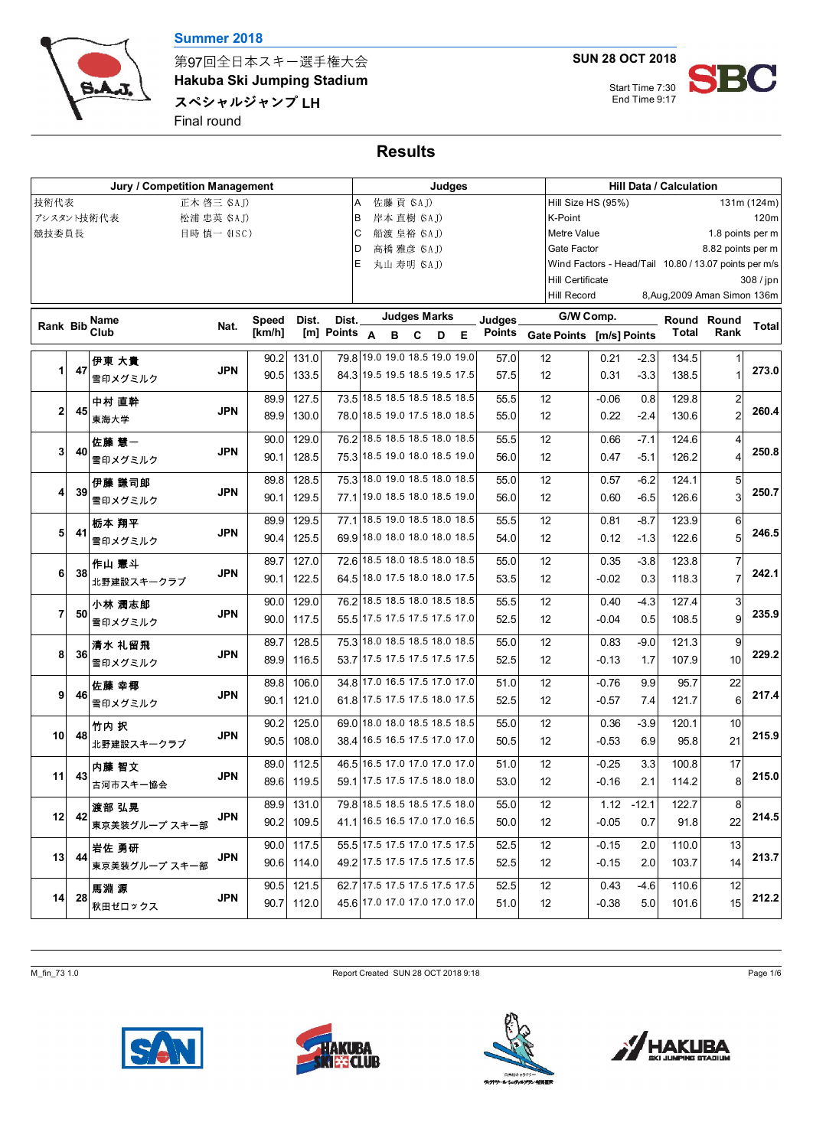

第97回全日本スキー選手権大会 **Hakuba Ski Jumping Stadium** スペシャルジャンプ LH Final round

**SUN 28 OCT 2018**

Start Time 7:30



## **Results**

| Jury / Competition Management |    |               |            |              |            |                    |                               |                     |              | Judges |   |               |                          | <b>Hill Data / Calculation</b> |         |                                                       |                   |              |  |
|-------------------------------|----|---------------|------------|--------------|------------|--------------------|-------------------------------|---------------------|--------------|--------|---|---------------|--------------------------|--------------------------------|---------|-------------------------------------------------------|-------------------|--------------|--|
| 技術代表                          |    | 正木 啓三 (SAJ)   |            |              |            | A                  |                               | 佐藤 貢 (SAJ)          |              |        |   |               | Hill Size HS (95%)       |                                |         |                                                       |                   | 131m (124m)  |  |
| アシスタント技術代表                    |    | 松浦 忠英 (SAJ)   |            |              |            | в                  |                               | 岸本 直樹 (SAJ)         |              |        |   |               | K-Point                  |                                |         |                                                       |                   | 120m         |  |
| 競技委員長                         |    |               | 目時 慎一 HSC) |              |            | С                  |                               | 船渡 皇裕 (SAJ)         |              |        |   |               | Metre Value              |                                |         |                                                       | 1.8 points per m  |              |  |
|                               |    |               |            |              |            | D                  |                               | 高橋 雅彦 (SAJ)         |              |        |   |               | Gate Factor              |                                |         |                                                       | 8.82 points per m |              |  |
|                               |    |               |            |              |            | Е                  |                               | 丸山 寿明 (SAJ)         |              |        |   |               |                          |                                |         | Wind Factors - Head/Tail 10.80 / 13.07 points per m/s |                   |              |  |
|                               |    |               |            |              |            |                    |                               |                     |              |        |   |               | Hill Certificate         |                                |         |                                                       |                   | 308 / jpn    |  |
|                               |    |               |            |              |            |                    |                               |                     |              |        |   |               | <b>Hill Record</b>       |                                |         | 8, Aug, 2009 Aman Simon 136m                          |                   |              |  |
| <b>Rank Bib</b>               |    | Name          | Nat.       | <b>Speed</b> | Dist.      | Dist.              |                               | <b>Judges Marks</b> |              |        |   | Judges        | G/W Comp.                |                                |         |                                                       | Round Round       | <b>Total</b> |  |
|                               |    | Club          |            | [km/h]       |            | $[m]$ Points $A$ B |                               |                     | $\mathbf{C}$ | D      | Е | <b>Points</b> | Gate Points [m/s] Points |                                |         | <b>Total</b>                                          | Rank              |              |  |
|                               |    | 伊東 大貴         |            | 90.2         | 131.0      |                    | 79.8 19.0 19.0 18.5 19.0 19.0 |                     |              |        |   | 57.0          | 12                       | 0.21                           | $-2.3$  | 134.5                                                 |                   |              |  |
| 1                             | 47 | 雪印メグミルク       | <b>JPN</b> | 90.5         | 133.5      |                    | 84.3 19.5 19.5 18.5 19.5 17.5 |                     |              |        |   | 57.5          | 12                       | 0.31                           | $-3.3$  | 138.5                                                 |                   | 273.0        |  |
|                               |    | 中村 直幹         |            | 89.9         | 127.5      |                    | 73.5 18.5 18.5 18.5 18.5 18.5 |                     |              |        |   | 55.5          | 12                       | $-0.06$                        | 0.8     | 129.8                                                 | $\overline{2}$    |              |  |
| $\overline{2}$                | 45 | 東海大学          | <b>JPN</b> | 89.9         | 130.0      |                    | 78.0 18.5 19.0 17.5 18.0 18.5 |                     |              |        |   | 55.0          | 12                       | 0.22                           | $-2.4$  | 130.6                                                 | 2                 | 260.4        |  |
|                               |    | 佐藤 慧一         |            | 90.0         | 129.0      |                    | 76.2 18.5 18.5 18.5 18.0 18.5 |                     |              |        |   | 55.5          | 12                       | 0.66                           | $-7.1$  | 124.6                                                 | 4                 |              |  |
| 3                             | 40 | 雪印メグミルク       | <b>JPN</b> | 90.1         | 128.5      |                    | 75.3 18.5 19.0 18.0 18.5 19.0 |                     |              |        |   | 56.0          | 12                       | 0.47                           | $-5.1$  | 126.2                                                 |                   | 250.8        |  |
|                               |    | 伊藤 謙司郎        |            | 89.8         | 128.5      |                    | 75.3 18.0 19.0 18.5 18.0 18.5 |                     |              |        |   | 55.0          | 12                       | 0.57                           | $-6.2$  | 124.1                                                 | 5                 |              |  |
| 41                            | 39 | 雪印メグミルク       | <b>JPN</b> | 90.1         | 129.5      |                    | 77.1 19.0 18.5 18.0 18.5 19.0 |                     |              |        |   | 56.0          | 12                       | 0.60                           | $-6.5$  | 126.6                                                 | 3                 | 250.7        |  |
|                               |    | 栃本 翔平         |            | 89.9         | 129.5      |                    | 77.1 18.5 19.0 18.5 18.0 18.5 |                     |              |        |   | 55.5          | 12                       | 0.81                           | $-8.7$  | 123.9                                                 | 6                 |              |  |
| 5                             | 41 | 雪印メグミルク       | <b>JPN</b> | 90.4         | 125.5      |                    | 69.9 18.0 18.0 18.0 18.0 18.5 |                     |              |        |   | 54.0          | 12                       | 0.12                           | $-1.3$  | 122.6                                                 | 5                 | 246.5        |  |
|                               |    | 作山 憲斗         |            | 89.7         | 127.0      |                    | 72.6 18.5 18.0 18.5 18.0 18.5 |                     |              |        |   | 55.0          | 12                       | 0.35                           | $-3.8$  | 123.8                                                 | $\overline{7}$    |              |  |
| 6                             | 38 | 北野建設スキークラブ    | <b>JPN</b> | 90.1         | 122.5      |                    | 64.5 18.0 17.5 18.0 18.0 17.5 |                     |              |        |   | 53.5          | 12                       | $-0.02$                        | 0.3     | 118.3                                                 |                   | 242.1        |  |
|                               |    | 小林 潤志郎        |            | 90.0         | 129.0      |                    | 76.2 18.5 18.5 18.0 18.5 18.5 |                     |              |        |   | 55.5          | 12                       | 0.40                           | $-4.3$  | 127.4                                                 | 3                 |              |  |
| 7                             | 50 | 雪印メグミルク       | <b>JPN</b> | 90.0         | 117.5      |                    | 55.5 17.5 17.5 17.5 17.5 17.0 |                     |              |        |   | 52.5          | 12                       | $-0.04$                        | 0.5     | 108.5                                                 | 9                 | 235.9        |  |
|                               |    | 清水 礼留飛        |            | 89.7         | 128.5      |                    | 75.3 18.0 18.5 18.5 18.0 18.5 |                     |              |        |   | 55.0          | 12                       | 0.83                           | $-9.0$  | 121.3                                                 | 9                 |              |  |
| 8                             | 36 | 雪印メグミルク       | <b>JPN</b> | 89.9         | 116.5      |                    | 53.7 17.5 17.5 17.5 17.5 17.5 |                     |              |        |   | 52.5          | 12                       | $-0.13$                        | 1.7     | 107.9                                                 | 10                | 229.2        |  |
|                               |    | 佐藤 幸椰         |            | 89.8         | 106.0      |                    | 34.8 17.0 16.5 17.5 17.0 17.0 |                     |              |        |   | 51.0          | 12                       | $-0.76$                        | 9.9     | 95.7                                                  | 22                |              |  |
| 9 <sup>1</sup>                | 46 | 雪印メグミルク       | <b>JPN</b> | 90.1         | 121.0      |                    | 61.8 17.5 17.5 17.5 18.0 17.5 |                     |              |        |   | 52.5          | 12                       | $-0.57$                        | 7.4     | 121.7                                                 | 6                 | 217.4        |  |
|                               |    | 竹内 択          |            | 90.2         | 125.0      |                    | 69.0 18.0 18.0 18.5 18.5 18.5 |                     |              |        |   | 55.0          | 12                       | 0.36                           | $-3.9$  | 120.1                                                 | 10                |              |  |
| 10 <sup>1</sup>               | 48 | 北野建設スキークラブ    | <b>JPN</b> | 90.5         | 108.0      |                    | 38.4 16.5 16.5 17.5 17.0 17.0 |                     |              |        |   | 50.5          | 12                       | $-0.53$                        | 6.9     | 95.8                                                  | 21                | 215.9        |  |
|                               |    | 内藤 智文         |            | 89.0         | 112.5      |                    | 46.5 16.5 17.0 17.0 17.0 17.0 |                     |              |        |   | 51.0          | 12                       | $-0.25$                        | 3.3     | 100.8                                                 | 17                |              |  |
| 11                            | 43 | 古河市スキー協会      | <b>JPN</b> |              | 89.6 119.5 |                    | 59.1 17.5 17.5 17.5 18.0 18.0 |                     |              |        |   | 53.0          | 12                       | -0.16                          | 2.1     | 114.2                                                 | 8                 | 215.0        |  |
|                               |    | 渡部 弘晃         |            |              | 89.9 131.0 |                    | 79.8 18.5 18.5 18.5 17.5 18.0 |                     |              |        |   | 55.0          | 12                       | 1.12                           | $-12.1$ | 122.7                                                 | 8                 |              |  |
| 12                            | 42 | 東京美装グループスキー部  | JPN        | 90.2         | 109.5      |                    | 41.1 16.5 16.5 17.0 17.0 16.5 |                     |              |        |   | 50.0          | 12                       | $-0.05$                        | 0.7     | 91.8                                                  | 22                | 214.5        |  |
|                               |    | 岩佐 勇研         |            | 90.0         | 117.5      |                    | 55.5 17.5 17.5 17.0 17.5 17.5 |                     |              |        |   | 52.5          | $12 \overline{ }$        | $-0.15$                        | 2.0     | 110.0                                                 | 13                |              |  |
| 13 <sup>1</sup>               | 44 | 東京美装グループ スキー部 | <b>JPN</b> |              | 90.6 114.0 |                    | 49 2 17.5 17.5 17.5 17.5 17.5 |                     |              |        |   | 52.5          | 12                       | $-0.15$                        | 2.0     | 103.7                                                 | 14                | 213.7        |  |
|                               |    | 馬淵 源          |            |              | 90.5 121.5 |                    | 62.7 17.5 17.5 17.5 17.5 17.5 |                     |              |        |   | 52.5          | 12                       | 0.43                           | -4.6    | 110.6                                                 | 12                |              |  |
| 14                            | 28 | 秋田ゼロックス       | <b>JPN</b> | 90.7         | 112.0      |                    | 45.6 17.0 17.0 17.0 17.0 17.0 |                     |              |        |   | 51.0          | 12                       | $-0.38$                        | 5.0     | 101.6                                                 | 15                | 212.2        |  |

M\_fin\_73 1.0 Page 1/6









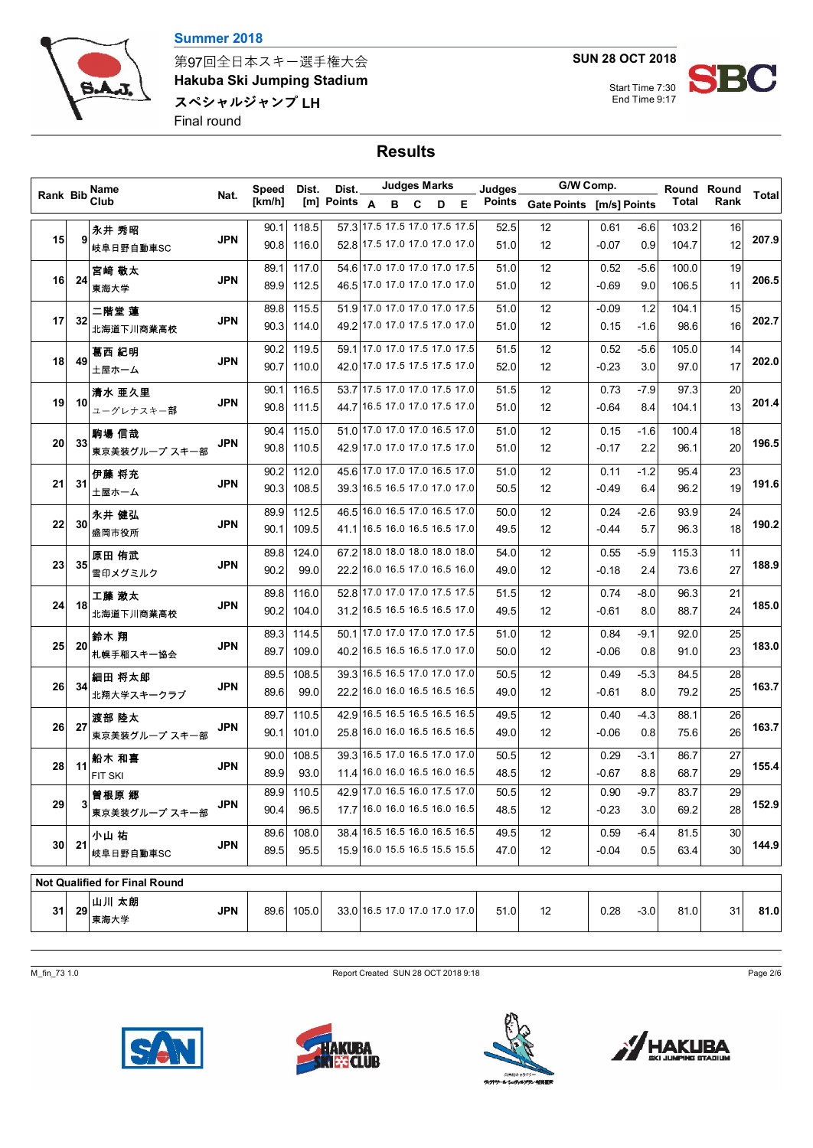



第97回全日本スキー選手権大会 **Hakuba Ski Jumping Stadium** スペシャルジャンプ LH Final round

**SUN 28 OCT 2018**

Start Time 7:30 End Time 9:17

# **Results**

|                 |         | Name                                 | G/W Comp.<br><b>Judges Marks</b><br>Dist.<br>Judges<br>Speed<br>Dist. |        |            |                  | Round Round |                               |   |   |        |                    |              |        |       |      |       |
|-----------------|---------|--------------------------------------|-----------------------------------------------------------------------|--------|------------|------------------|-------------|-------------------------------|---|---|--------|--------------------|--------------|--------|-------|------|-------|
| Rank Bib        | Club    |                                      | Nat.                                                                  | [km/h] |            | [m] Points $A$ B |             | <b>C</b>                      | D | Е | Points | <b>Gate Points</b> | [m/s] Points |        | Total | Rank | Total |
|                 |         | 永井 秀昭                                |                                                                       | 90.1   | 118.5      |                  |             | 57.3 17.5 17.5 17.0 17.5 17.5 |   |   | 52.5   | 12                 | 0.61         | $-6.6$ | 103.2 | 16   |       |
| 15 <sub>l</sub> | 9       | 岐阜日野自動車SC                            | <b>JPN</b>                                                            | 90.8   | 116.0      |                  |             | 52.8 17.5 17.0 17.0 17.0 17.0 |   |   | 51.0   | 12                 | $-0.07$      | 0.9    | 104.7 | 12   | 207.9 |
|                 |         | 宮崎 敬太                                |                                                                       | 89.1   | 117.0      |                  |             | 54.6 17.0 17.0 17.0 17.0 17.5 |   |   | 51.0   | 12                 | 0.52         | $-5.6$ | 100.0 | 19   |       |
| 16              | 24      | 東海大学                                 | JPN                                                                   | 89.9   | 112.5      |                  |             | 46.5 17.0 17.0 17.0 17.0 17.0 |   |   | 51.0   | 12                 | $-0.69$      | 9.0    | 106.5 | 11   | 206.5 |
|                 |         | 二階堂 蓮                                |                                                                       | 89.8   | 115.5      |                  |             | 51.9 17.0 17.0 17.0 17.0 17.5 |   |   | 51.0   | 12                 | $-0.09$      | 1.2    | 104.1 | 15   |       |
| 17              | 32      | 北海道下川商業高校                            | JPN                                                                   | 90.3   | 114.0      |                  |             | 49.2 17.0 17.0 17.5 17.0 17.0 |   |   | 51.0   | 12                 | 0.15         | $-1.6$ | 98.6  | 16   | 202.7 |
|                 |         | 葛西 紀明                                |                                                                       | 90.2   | 119.5      |                  |             | 59.1 17.0 17.0 17.5 17.0 17.5 |   |   | 51.5   | 12                 | 0.52         | $-5.6$ | 105.0 | 14   |       |
| 18              | 49      | 土屋ホーム                                | <b>JPN</b>                                                            | 90.7   | 110.0      |                  |             | 42.0 17.0 17.5 17.5 17.5 17.0 |   |   | 52.0   | 12                 | $-0.23$      | 3.0    | 97.0  | 17   | 202.0 |
|                 |         | 清水 亜久里                               |                                                                       | 90.1   | 116.5      |                  |             | 53.7 17.5 17.0 17.0 17.5 17.0 |   |   | 51.5   | 12                 | 0.73         | -7.9   | 97.3  | 20   |       |
| 19              | 10      | ユーグレナスキー部                            | <b>JPN</b>                                                            | 90.8   | 111.5      |                  |             | 44.7 16.5 17.0 17.0 17.5 17.0 |   |   | 51.0   | 12                 | $-0.64$      | 8.4    | 104.1 | 13   | 201.4 |
|                 |         | 駒場 信哉                                |                                                                       | 90.4   | 115.0      |                  |             | 51.0 17.0 17.0 17.0 16.5 17.0 |   |   | 51.0   | 12                 | 0.15         | $-1.6$ | 100.4 | 18   |       |
| 20              | 33      | 東京美装グループスキー部                         | <b>JPN</b>                                                            | 90.8   | 110.5      |                  |             | 42.9 17.0 17.0 17.0 17.5 17.0 |   |   | 51.0   | 12                 | -0.17        | 2.2    | 96.1  | 20   | 196.5 |
|                 |         | 伊藤 将充                                |                                                                       | 90.2   | 112.0      |                  |             | 45.6 17.0 17.0 17.0 16.5 17.0 |   |   | 51.0   | 12                 | 0.11         | $-1.2$ | 95.4  | 23   |       |
| 21              | 31      | 土屋ホーム                                | JPN                                                                   | 90.3   | 108.5      |                  |             | 39.3 16.5 16.5 17.0 17.0 17.0 |   |   | 50.5   | 12                 | -0.49        | 6.4    | 96.2  | 19   | 191.6 |
|                 |         | 永井 健弘                                |                                                                       | 89.9   | 112.5      |                  |             | 46.5 16.0 16.5 17.0 16.5 17.0 |   |   | 50.0   | 12                 | 0.24         | $-2.6$ | 93.9  | 24   |       |
| 22              | 30      | 盛岡市役所                                | JPN                                                                   | 90.1   | 109.5      |                  |             | 41.1 16.5 16.0 16.5 16.5 17.0 |   |   | 49.5   | 12                 | -0.44        | 5.7    | 96.3  | 18   | 190.2 |
|                 |         | 原田 侑武                                |                                                                       | 89.8   | 124.0      |                  |             | 67.2 18.0 18.0 18.0 18.0 18.0 |   |   | 54.0   | 12                 | 0.55         | $-5.9$ | 115.3 | 11   |       |
| 23              | 35      | 雪印メグミルク                              | JPN                                                                   | 90.2   | 99.0       |                  |             | 22.2 16.0 16.5 17.0 16.5 16.0 |   |   | 49.0   | 12                 | $-0.18$      | 2.4    | 73.6  | 27   | 188.9 |
|                 |         | 工藤 漱太                                |                                                                       | 89.8   | 116.0      |                  |             | 52.8 17.0 17.0 17.0 17.5 17.5 |   |   | 51.5   | 12                 | 0.74         | $-8.0$ | 96.3  | 21   |       |
| 24              | 18      | 北海道下川商業高校                            | JPN                                                                   | 90.2   | 104.0      |                  |             | 31.2 16.5 16.5 16.5 16.5 17.0 |   |   | 49.5   | 12                 | -0.61        | 8.0    | 88.7  | 24   | 185.0 |
|                 |         | 鈴木 翔                                 |                                                                       | 89.3   | 114.5      |                  |             | 50.1 17.0 17.0 17.0 17.0 17.5 |   |   | 51.0   | 12                 | 0.84         | -9.1   | 92.0  | 25   |       |
| 25              | 20      | 札幌手稲スキー協会                            | JPN                                                                   | 89.7   | 109.0      |                  |             | 40.2 16.5 16.5 16.5 17.0 17.0 |   |   | 50.0   | 12                 | $-0.06$      | 0.8    | 91.0  | 23   | 183.0 |
|                 |         | 細田 将太郎                               |                                                                       | 89.5   | 108.5      |                  |             | 39.3 16.5 16.5 17.0 17.0 17.0 |   |   | 50.5   | 12                 | 0.49         | $-5.3$ | 84.5  | 28   |       |
| 26              | 34      | 北翔大学スキークラブ                           | JPN                                                                   | 89.6   | 99.0       |                  |             | 22.2 16.0 16.0 16.5 16.5 16.5 |   |   | 49.0   | 12                 | -0.61        | 8.0    | 79.2  | 25   | 163.7 |
|                 |         | 渡部 陸太                                |                                                                       | 89.7   | 110.5      |                  |             | 42 9 16.5 16.5 16.5 16.5 16.5 |   |   | 49.5   | 12                 | 0.40         | $-4.3$ | 88.1  | 26   |       |
| 26              | 27      | 東京美装グループスキー部                         | JPN                                                                   | 90.1   | 101.0      |                  |             | 25.8 16.0 16.0 16.5 16.5 16.5 |   |   | 49.0   | 12                 | $-0.06$      | 0.8    | 75.6  | 26   | 163.7 |
|                 |         | 船木 和喜                                |                                                                       | 90.0   | 108.5      |                  |             | 39.3 16.5 17.0 16.5 17.0 17.0 |   |   | 50.5   | 12                 | 0.29         | $-3.1$ | 86.7  | 27   |       |
| 28              | 11      | FIT SKI                              | <b>JPN</b>                                                            | 89.9   | 93.0       |                  |             | 11.4 16.0 16.0 16.5 16.0 16.5 |   |   | 48.5   | 12                 | $-0.67$      | 8.8    | 68.7  | 29   | 155.4 |
|                 |         | 曽根原 郷                                |                                                                       |        | 89.9 110.5 |                  |             | 42.9 17.0 16.5 16.0 17.5 17.0 |   |   | 50.5   | 12                 | 0.90         | -9.7   | 83.7  | 29   |       |
| 29              | 3       | 東京美装グループスキー部                         | <b>JPN</b>                                                            | 90.4   | 96.5       |                  |             | 17.7 16.0 16.0 16.5 16.0 16.5 |   |   | 48.5   | 12                 | $-0.23$      | 3.0    | 69.2  | 28   | 152.9 |
|                 |         | 小山 祐                                 |                                                                       | 89.6   | 108.0      |                  |             | 38.4 16.5 16.5 16.0 16.5 16.5 |   |   | 49.5   | 12                 | 0.59         | -6.4   | 81.5  | 30   |       |
|                 | $30$ 21 | 岐阜日野自動車SC                            | <b>JPN</b>                                                            | 89.5   | 95.5       |                  |             | 15.9 16.0 15.5 16.5 15.5 15.5 |   |   | 47.0   | 12                 | $-0.04$      | 0.5    | 63.4  | 30   | 144.9 |
|                 |         | <b>Not Qualified for Final Round</b> |                                                                       |        |            |                  |             |                               |   |   |        |                    |              |        |       |      |       |
|                 |         | 山川 太朗                                |                                                                       |        |            |                  |             |                               |   |   |        |                    |              |        |       |      |       |
| 31              | 29      | 東海大学                                 | <b>JPN</b>                                                            |        | 89.6 105.0 |                  |             | 33.0 16.5 17.0 17.0 17.0 17.0 |   |   | 51.0   | 12                 | 0.28         | $-3.0$ | 81.0  | 31   | 81.0  |

M\_fin\_73 1.0 Page 2/6









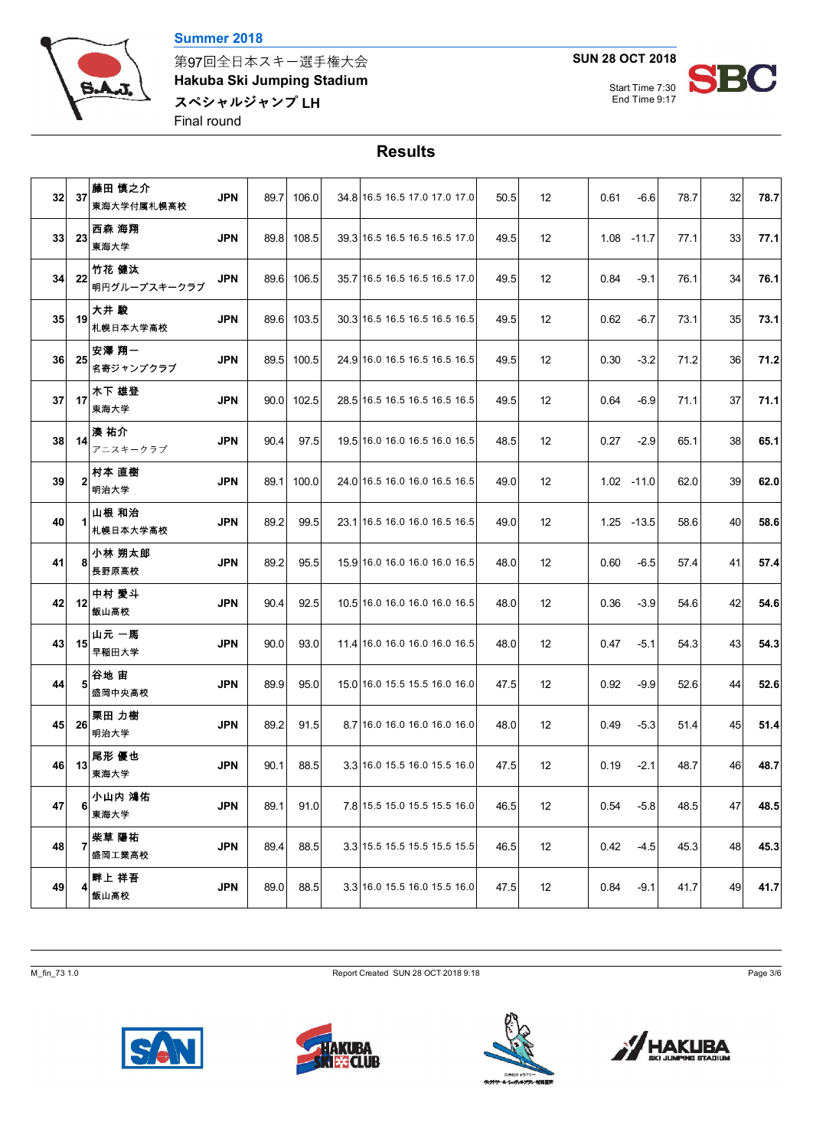



第97回全日本スキー選手権大会 **Hakuba Ski Jumping Stadium** スペシャルジャンプ LH Final round

**SUN 28 OCT 2018**



## **Results**

| 32 | 37 | 藤田 慎之介<br>東海大学付属札幌高校  | <b>JPN</b> | 89.7 | 106.0      | 34 8 16.5 16.5 17.0 17.0 17.0 | 50.5 | 12 | 0.61<br>$-6.6$ | 78.7 | 32 | 78.7 |
|----|----|-----------------------|------------|------|------------|-------------------------------|------|----|----------------|------|----|------|
| 33 | 23 | 西森 海翔<br>東海大学         | <b>JPN</b> | 89.8 | 108.5      | 39.3 16.5 16.5 16.5 16.5 17.0 | 49.5 | 12 | $1.08 - 11.7$  | 77.1 | 33 | 77.1 |
| 34 | 22 | 竹花 健汰<br>明円グループスキークラブ | JPN        | 89.6 | 106.5      | 35.7 16.5 16.5 16.5 16.5 17.0 | 49.5 | 12 | 0.84<br>$-9.1$ | 76.1 | 34 | 76.1 |
| 35 | 19 | 大井 駿<br>札幌日本大学高校      | <b>JPN</b> |      | 89.6 103.5 | 30.3 16.5 16.5 16.5 16.5 16.5 | 49.5 | 12 | 0.62<br>$-6.7$ | 73.1 | 35 | 73.1 |
| 36 | 25 | 安澤 翔一<br>名寄ジャンプクラブ    | <b>JPN</b> | 89.5 | 100.5      | 24.9 16.0 16.5 16.5 16.5 16.5 | 49.5 | 12 | 0.30<br>$-3.2$ | 71.2 | 36 | 71.2 |
| 37 | 17 | 木下 雄登<br>東海大学         | <b>JPN</b> |      | 90.0 102.5 | 28.5 16.5 16.5 16.5 16.5 16.5 | 49.5 | 12 | 0.64<br>$-6.9$ | 71.1 | 37 | 71.1 |
| 38 | 14 | 湊 祐介<br>アニスキークラブ      | <b>JPN</b> | 90.4 | 97.5       | 19.5 16.0 16.0 16.5 16.0 16.5 | 48.5 | 12 | 0.27<br>$-2.9$ | 65.1 | 38 | 65.1 |
| 39 | 2  | 村本 直樹<br>明治大学         | <b>JPN</b> | 89.1 | 100.0      | 24.0 16.5 16.0 16.0 16.5 16.5 | 49.0 | 12 | $1.02 - 11.0$  | 62.0 | 39 | 62.0 |
| 40 |    | 山根 和治<br>札幌日本大学高校     | <b>JPN</b> | 89.2 | 99.5       | 23.1 16.5 16.0 16.0 16.5 16.5 | 49.0 | 12 | 1.25 - 13.5    | 58.6 | 40 | 58.6 |
| 41 | 8  | 小林 朔太郎<br>長野原高校       | <b>JPN</b> | 89.2 | 95.5       | 15.9 16.0 16.0 16.0 16.0 16.5 | 48.0 | 12 | 0.60<br>$-6.5$ | 57.4 | 41 | 57.4 |
| 42 | 12 | 中村 愛斗<br>飯山高校         | <b>JPN</b> | 90.4 | 92.5       | 10.5 16.0 16.0 16.0 16.0 16.5 | 48.0 | 12 | $-3.9$<br>0.36 | 54.6 | 42 | 54.6 |
| 43 | 15 | 山元 一馬<br>早稲田大学        | <b>JPN</b> | 90.0 | 93.0       | 11.4 16.0 16.0 16.0 16.0 16.5 | 48.0 | 12 | 0.47<br>$-5.1$ | 54.3 | 43 | 54.3 |
| 44 | 5  | 谷地 宙<br>盛岡中央高校        | <b>JPN</b> | 89.9 | 95.0       | 15.0 16.0 15.5 15.5 16.0 16.0 | 47.5 | 12 | $-9.9$<br>0.92 | 52.6 | 44 | 52.6 |
| 45 | 26 | 栗田 力樹<br>明治大学         | <b>JPN</b> | 89.2 | 91.5       | 8.7 16.0 16.0 16.0 16.0 16.0  | 48.0 | 12 | $-5.3$<br>0.49 | 51.4 | 45 | 51.4 |
| 46 | 13 | 尾形 優也<br>東海大学         | <b>JPN</b> | 90.1 | 88.5       | 3.3 16.0 15.5 16.0 15.5 16.0  | 47.5 | 12 | $-2.1$<br>0.19 | 48.7 | 46 | 48.7 |
| 47 | 6  | 小山内 鴻佑<br>東海大学        | <b>JPN</b> | 89.1 | 91.0       | 7.8 15.5 15.0 15.5 15.5 16.0  | 46.5 | 12 | 0.54<br>$-5.8$ | 48.5 | 47 | 48.5 |
| 48 | 7  | 柴草 陽祐<br>盛岡工業高校       | <b>JPN</b> | 89.4 | 88.5       | 3.3 15.5 15.5 15.5 15.5 15.5  | 46.5 | 12 | 0.42<br>$-4.5$ | 45.3 | 48 | 45.3 |
| 49 | 41 | 畔上 祥吾<br>飯山高校         | <b>JPN</b> | 89.0 | 88.5       | 3.3 16.0 15.5 16.0 15.5 16.0  | 47.5 | 12 | 0.84<br>$-9.1$ | 41.7 | 49 | 41.7 |

M\_fin\_73 1.0 Page 3/6







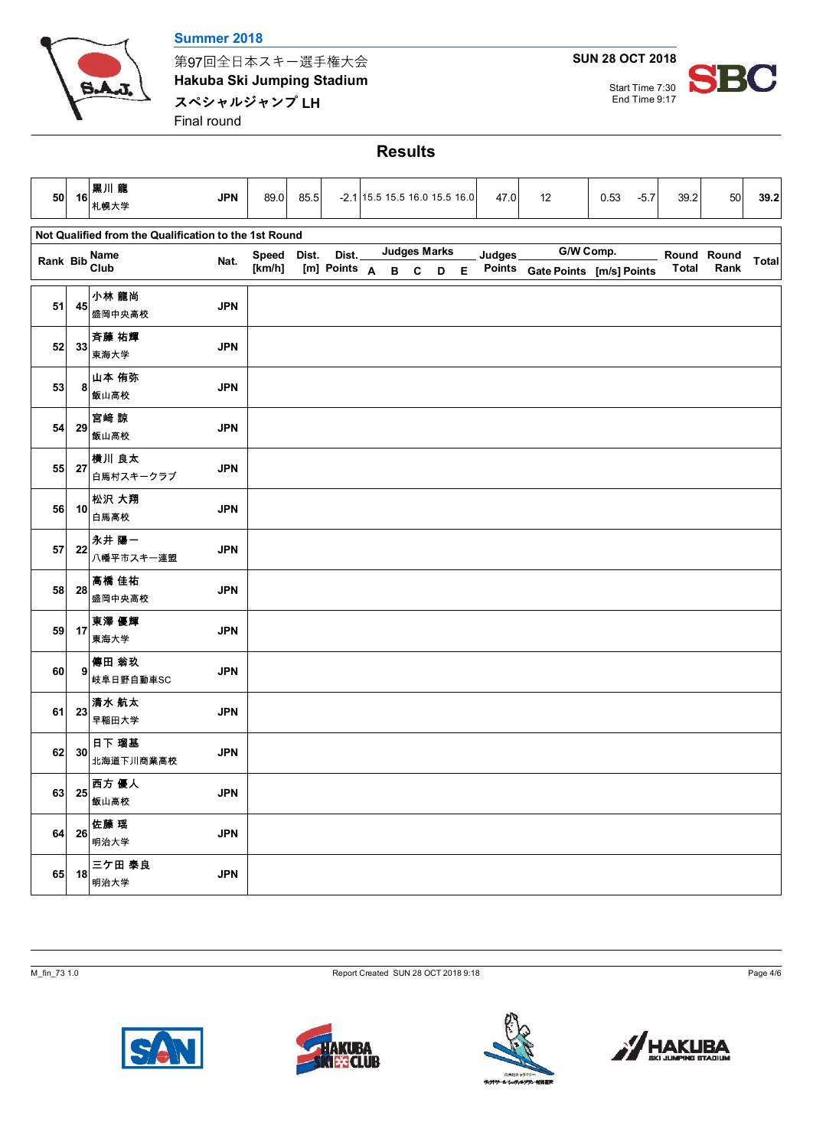

#### **Summer 2018**

第97回全日本スキー選手権大会 **Hakuba Ski Jumping Stadium** スペシャルジャンプ LH Final round

# **SUN 28 OCT 2018**

Start Time 7:30



### **Results**

| 50            | 16 | 黒川龍<br>札幌大学                                           | <b>JPN</b> | 89.0   | 85.5  |              | -2.1 15.5 15.5 16.0 15.5 16.0 |     |                     |             | 47.0   | 12                              | 0.53 | $-5.7$ | 39.2         | 50          | 39.2         |
|---------------|----|-------------------------------------------------------|------------|--------|-------|--------------|-------------------------------|-----|---------------------|-------------|--------|---------------------------------|------|--------|--------------|-------------|--------------|
|               |    | Not Qualified from the Qualification to the 1st Round |            |        |       |              |                               |     |                     |             |        |                                 |      |        |              |             |              |
| Rank Bib Club |    |                                                       | Nat.       | Speed  | Dist. | Dist.        |                               |     | <b>Judges Marks</b> |             | Judges | G/W Comp.                       |      |        |              | Round Round |              |
|               |    |                                                       |            | [km/h] |       | [m] Points A |                               | B C | D                   | $\mathsf E$ |        | Points Gate Points [m/s] Points |      |        | <b>Total</b> | Rank        | <b>Total</b> |
| 51            | 45 | 小林 龍尚<br>盛岡中央高校                                       | <b>JPN</b> |        |       |              |                               |     |                     |             |        |                                 |      |        |              |             |              |
| 52            | 33 | 斉藤 祐輝<br>東海大学                                         | <b>JPN</b> |        |       |              |                               |     |                     |             |        |                                 |      |        |              |             |              |
| 53            | 8  | 山本 侑弥<br>飯山高校                                         | <b>JPN</b> |        |       |              |                               |     |                     |             |        |                                 |      |        |              |             |              |
| 54            | 29 | 宮崎 諒<br>飯山高校                                          | <b>JPN</b> |        |       |              |                               |     |                     |             |        |                                 |      |        |              |             |              |
| 55            | 27 | 横川 良太<br>白馬村スキークラブ                                    | <b>JPN</b> |        |       |              |                               |     |                     |             |        |                                 |      |        |              |             |              |
| 56            | 10 | 松沢 大翔<br>白馬高校                                         | <b>JPN</b> |        |       |              |                               |     |                     |             |        |                                 |      |        |              |             |              |
| 57            | 22 | 永井 陽一<br>八幡平市スキー連盟                                    | <b>JPN</b> |        |       |              |                               |     |                     |             |        |                                 |      |        |              |             |              |
| 58            | 28 | 高橋 佳祐<br>盛岡中央高校                                       | <b>JPN</b> |        |       |              |                               |     |                     |             |        |                                 |      |        |              |             |              |
| 59            | 17 | 東澤 優輝<br>東海大学                                         | <b>JPN</b> |        |       |              |                               |     |                     |             |        |                                 |      |        |              |             |              |
| 60            | 9  | 傳田 翁玖<br>岐阜日野自動車SC                                    | <b>JPN</b> |        |       |              |                               |     |                     |             |        |                                 |      |        |              |             |              |
| 61            | 23 | 清水 航太<br>早稲田大学                                        | <b>JPN</b> |        |       |              |                               |     |                     |             |        |                                 |      |        |              |             |              |
| 62            | 30 | 日下 瑠基<br>北海道下川商業高校                                    | <b>JPN</b> |        |       |              |                               |     |                     |             |        |                                 |      |        |              |             |              |
| 63            | 25 | 西方 優人<br>飯山高校                                         | <b>JPN</b> |        |       |              |                               |     |                     |             |        |                                 |      |        |              |             |              |
| 64            | 26 | 佐藤 瑶<br>明治大学                                          | <b>JPN</b> |        |       |              |                               |     |                     |             |        |                                 |      |        |              |             |              |
| 65            | 18 | 三ケ田 泰良<br>明治大学                                        | <b>JPN</b> |        |       |              |                               |     |                     |             |        |                                 |      |        |              |             |              |